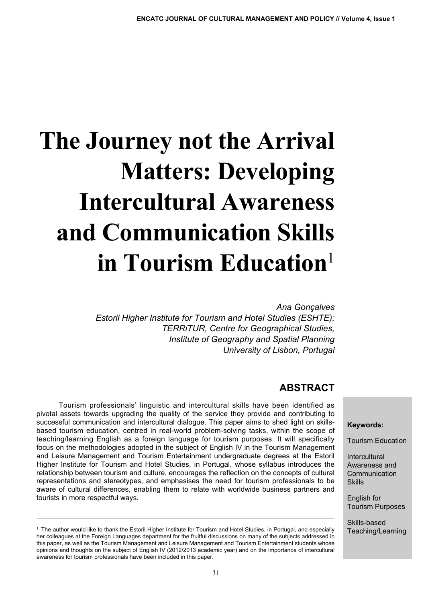# **The Journey not the Arrival Matters: Developing Intercultural Awareness and Communication Skills in Tourism Education**<sup>1</sup>

*Ana Gonçalves*

*Estoril Higher Institute for Tourism and Hotel Studies (ESHTE); TERRiTUR, Centre for Geographical Studies, Institute of Geography and Spatial Planning University of Lisbon, Portugal*

# **ABSTRACT**

Tourism professionals' linguistic and intercultural skills have been identified as pivotal assets towards upgrading the quality of the service they provide and contributing to successful communication and intercultural dialogue. This paper aims to shed light on skillsbased tourism education, centred in real-world problem-solving tasks, within the scope of teaching/learning English as a foreign language for tourism purposes. It will specifically focus on the methodologies adopted in the subject of English IV in the Tourism Management and Leisure Management and Tourism Entertainment undergraduate degrees at the Estoril Higher Institute for Tourism and Hotel Studies, in Portugal, whose syllabus introduces the relationship between tourism and culture, encourages the reflection on the concepts of cultural representations and stereotypes, and emphasises the need for tourism professionals to be aware of cultural differences, enabling them to relate with worldwide business partners and tourists in more respectful ways.

#### **Keywords:**

Tourism Education

**Intercultural** Awareness and Communication Skills

English for Tourism Purposes

Skills-based Teaching/Learning

<sup>1</sup> The author would like to thank the Estoril Higher Institute for Tourism and Hotel Studies, in Portugal, and especially her colleagues at the Foreign Languages department for the fruitful discussions on many of the subjects addressed in this paper, as well as the Tourism Management and Leisure Management and Tourism Entertainment students whose opinions and thoughts on the subject of English IV (2012/2013 academic year) and on the importance of intercultural awareness for tourism professionals have been included in this paper.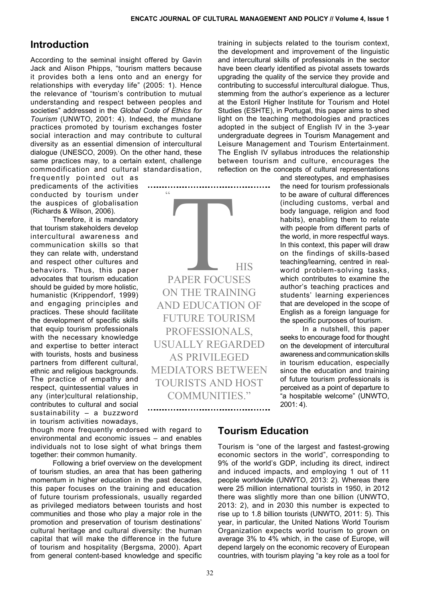### **Introduction**

According to the seminal insight offered by Gavin Jack and Alison Phipps, "tourism matters because it provides both a lens onto and an energy for relationships with everyday life" (2005: 1). Hence the relevance of "tourism's contribution to mutual understanding and respect between peoples and societies" addressed in the *Global Code of Ethics for Tourism* (UNWTO, 2001: 4). Indeed, the mundane practices promoted by tourism exchanges foster social interaction and may contribute to cultural diversity as an essential dimension of intercultural dialogue (UNESCO, 2009). On the other hand, these same practices may, to a certain extent, challenge commodification and cultural standardisation,

frequently pointed out as predicaments of the activities conducted by tourism under the auspices of globalisation (Richards & Wilson, 2006).

Therefore, it is mandatory that tourism stakeholders develop intercultural awareness and communication skills so that they can relate with, understand and respect other cultures and behaviors. Thus, this paper advocates that tourism education should be guided by more holistic, humanistic (Krippendorf, 1999) and engaging principles and practices. These should facilitate the development of specific skills that equip tourism professionals with the necessary knowledge and expertise to better interact with tourists, hosts and business partners from different cultural, ethnic and religious backgrounds. The practice of empathy and respect, quintessential values in any (inter)cultural relationship, contributes to cultural and social sustainability – a buzzword in tourism activities nowadays,

though more frequently endorsed with regard to environmental and economic issues – and enables individuals not to lose sight of what brings them together: their common humanity.

Following a brief overview on the development of tourism studies, an area that has been gathering momentum in higher education in the past decades, this paper focuses on the training and education of future tourism professionals, usually regarded as privileged mediators between tourists and host communities and those who play a major role in the promotion and preservation of tourism destinations' cultural heritage and cultural diversity: the human capital that will make the difference in the future of tourism and hospitality (Bergsma, 2000). Apart from general content-based knowledge and specific

 $\zeta$   $\zeta$ PAPER FOCUS paper focuses on the training and education of future tourism professionals, usually regarded as privileged mediators between tourists and host communities."

training in subjects related to the tourism context, the development and improvement of the linguistic and intercultural skills of professionals in the sector have been clearly identified as pivotal assets towards upgrading the quality of the service they provide and contributing to successful intercultural dialogue. Thus, stemming from the author's experience as a lecturer at the Estoril Higher Institute for Tourism and Hotel Studies (ESHTE), in Portugal, this paper aims to shed light on the teaching methodologies and practices adopted in the subject of English IV in the 3-year undergraduate degrees in Tourism Management and Leisure Management and Tourism Entertainment. The English IV syllabus introduces the relationship between tourism and culture, encourages the reflection on the concepts of cultural representations

> and stereotypes, and emphasises the need for tourism professionals to be aware of cultural differences (including customs, verbal and body language, religion and food habits), enabling them to relate with people from different parts of the world, in more respectful ways. In this context, this paper will draw on the findings of skills-based teaching/learning, centred in realworld problem-solving tasks, which contributes to examine the author's teaching practices and students' learning experiences that are developed in the scope of English as a foreign language for the specific purposes of tourism.

> In a nutshell, this paper seeks to encourage food for thought on the development of intercultural awareness and communication skills in tourism education, especially since the education and training of future tourism professionals is perceived as a point of departure to "a hospitable welcome" (UNWTO, 2001: 4).

## **Tourism Education**

Tourism is "one of the largest and fastest-growing economic sectors in the world", corresponding to 9% of the world's GDP, including its direct, indirect and induced impacts, and employing 1 out of 11 people worldwide (UNWTO, 2013: 2). Whereas there were 25 million international tourists in 1950, in 2012 there was slightly more than one billion (UNWTO, 2013: 2), and in 2030 this number is expected to rise up to 1.8 billion tourists (UNWTO, 2011: 5). This year, in particular, the United Nations World Tourism Organization expects world tourism to grown on average 3% to 4% which, in the case of Europe, will depend largely on the economic recovery of European countries, with tourism playing "a key role as a tool for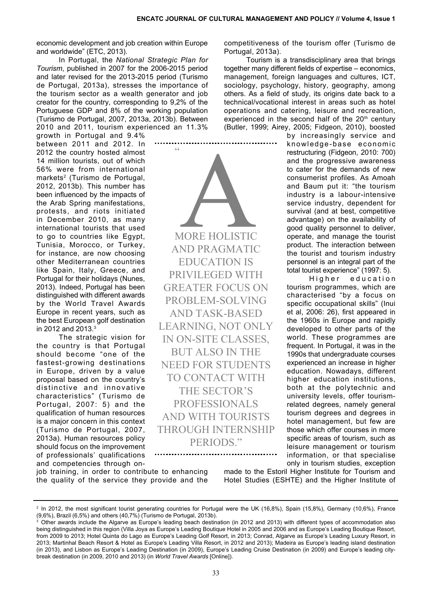economic development and job creation within Europe and worldwide" (ETC, 2013).

In Portugal, the *National Strategic Plan for Tourism*, published in 2007 for the 2006-2015 period and later revised for the 2013-2015 period (Turismo de Portugal, 2013a), stresses the importance of the tourism sector as a wealth generator and job creator for the country, corresponding to 9,2% of the Portuguese GDP and 8% of the working population (Turismo de Portugal, 2007, 2013a, 2013b). Between 2010 and 2011, tourism experienced an 11.3%

 $\zeta$   $\zeta$ 

growth in Portugal and 9.4% between 2011 and 2012. In 2012 the country hosted almost 14 million tourists, out of which 56% were from international markets<sup>2</sup> (Turismo de Portugal, 2012, 2013b). This number has been influenced by the impacts of the Arab Spring manifestations, protests, and riots initiated in December 2010, as many international tourists that used to go to countries like Egypt, Tunisia, Morocco, or Turkey, for instance, are now choosing other Mediterranean countries like Spain, Italy, Greece, and Portugal for their holidays (Nunes, 2013). Indeed, Portugal has been distinguished with different awards by the World Travel Awards Europe in recent years, such as the best European golf destination in 2012 and 2013.<sup>3</sup>

The strategic vision for the country is that Portugal should become "one of the fastest-growing destinations in Europe, driven by a value proposal based on the country's distinctive and innovative characteristics" (Turismo de Portugal, 2007: 5) and the qualification of human resources is a major concern in this context (Turismo de Portugal, 2007, 2013a). Human resources policy should focus on the improvement of professionals' qualifications and competencies through on-

AORE HOLISTIC and pragmatic education is privileged with **GREATER FOCUS ON** problem-solving and task-based learning, not only in on-site classes, but also in the need for students TO CONTACT WITH THE SECTOR'S **PROFESSIONALS** and with tourists THROUGH INTERNSHIP periods."

competitiveness of the tourism offer (Turismo de Portugal, 2013a).

Tourism is a transdisciplinary area that brings together many different fields of expertise – economics, management, foreign languages and cultures, ICT, sociology, psychology, history, geography, among others. As a field of study, its origins date back to a technical/vocational interest in areas such as hotel operations and catering, leisure and recreation, experienced in the second half of the  $20<sup>th</sup>$  century (Butler, 1999; Airey, 2005; Fidgeon, 2010), boosted

by increasingly service and knowledge-base economic restructuring (Fidgeon, 2010: 700) and the progressive awareness to cater for the demands of new consumerist profiles. As Amoah and Baum put it: "the tourism industry is a labour-intensive service industry, dependent for survival (and at best, competitive advantage) on the availability of good quality personnel to deliver, operate, and manage the tourist product. The interaction between the tourist and tourism industry personnel is an integral part of the total tourist experience" (1997: 5).

Higher education tourism programmes, which are characterised "by a focus on specific occupational skills" (Inui et al, 2006: 26), first appeared in the 1960s in Europe and rapidly developed to other parts of the world. These programmes are frequent. In Portugal, it was in the 1990s that undergraduate courses experienced an increase in higher education. Nowadays, different higher education institutions, both at the polytechnic and university levels, offer tourismrelated degrees, namely general tourism degrees and degrees in hotel management, but few are those which offer courses in more specific areas of tourism, such as leisure management or tourism information, or that specialise only in tourism studies, exception

job training, in order to contribute to enhancing the quality of the service they provide and the made to the Estoril Higher Institute for Tourism and Hotel Studies (ESHTE) and the Higher Institute of

<sup>&</sup>lt;sup>2</sup> In 2012, the most significant tourist generating countries for Portugal were the UK (16,8%), Spain (15,8%), Germany (10,6%), France (9,6%), Brazil (6,5%) and others (40,7%) (Turismo de Portugal, 2013b).

<sup>3</sup> Other awards include the Algarve as Europe's leading beach destination (in 2012 and 2013) with different types of accommodation also being distinguished in this region (Villa Joya as Europe's Leading Boutique Hotel in 2005 and 2006 and as Europe's Leading Boutique Resort, from 2009 to 2013; Hotel Quinta do Lago as Europe's Leading Golf Resort, in 2013; Conrad, Algarve as Europe's Leading Luxury Resort, in 2013; Martinhal Beach Resort & Hotel as Europe's Leading Villa Resort, in 2012 and 2013); Madeira as Europe's leading island destination (in 2013), and Lisbon as Europe's Leading Destination (in 2009), Europe's Leading Cruise Destination (in 2009) and Europe's leading citybreak destination (in 2009, 2010 and 2013) (in *World Travel Awards* [Online]).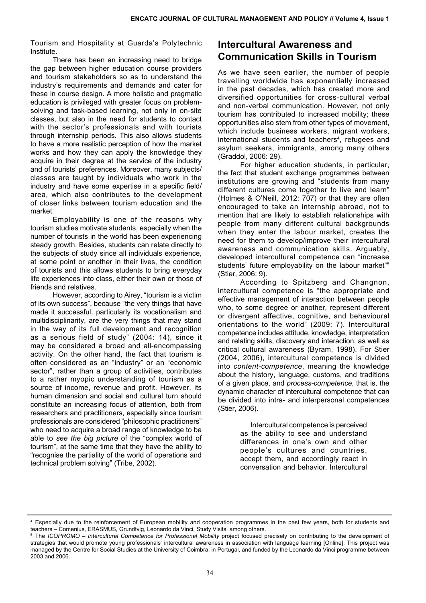Tourism and Hospitality at Guarda's Polytechnic Institute.

There has been an increasing need to bridge the gap between higher education course providers and tourism stakeholders so as to understand the industry's requirements and demands and cater for these in course design. A more holistic and pragmatic education is privileged with greater focus on problemsolving and task-based learning, not only in on-site classes, but also in the need for students to contact with the sector's professionals and with tourists through internship periods. This also allows students to have a more realistic perception of how the market works and how they can apply the knowledge they acquire in their degree at the service of the industry and of tourists' preferences. Moreover, many subjects/ classes are taught by individuals who work in the industry and have some expertise in a specific field/ area, which also contributes to the development of closer links between tourism education and the market.

Employability is one of the reasons why tourism studies motivate students, especially when the number of tourists in the world has been experiencing steady growth. Besides, students can relate directly to the subjects of study since all individuals experience, at some point or another in their lives, the condition of tourists and this allows students to bring everyday life experiences into class, either their own or those of friends and relatives.

However, according to Airey, "tourism is a victim of its own success", because "the very things that have made it successful, particularly its vocationalism and multidisciplinarity, are the very things that may stand in the way of its full development and recognition as a serious field of study" (2004: 14), since it may be considered a broad and all-encompassing activity. On the other hand, the fact that tourism is often considered as an "industry" or an "economic sector", rather than a group of activities, contributes to a rather myopic understanding of tourism as a source of income, revenue and profit. However, its human dimension and social and cultural turn should constitute an increasing focus of attention, both from researchers and practitioners, especially since tourism professionals are considered "philosophic practitioners" who need to acquire a broad range of knowledge to be able to *see the big picture* of the "complex world of tourism", at the same time that they have the ability to "recognise the partiality of the world of operations and technical problem solving" (Tribe, 2002).

# **Intercultural Awareness and Communication Skills in Tourism**

As we have seen earlier, the number of people travelling worldwide has exponentially increased in the past decades, which has created more and diversified opportunities for cross-cultural verbal and non-verbal communication. However, not only tourism has contributed to increased mobility; these opportunities also stem from other types of movement, which include business workers, migrant workers, international students and teachers<sup>4</sup>, refugees and asylum seekers, immigrants, among many others (Graddol, 2006: 29).

For higher education students, in particular, the fact that student exchange programmes between institutions are growing and "students from many different cultures come together to live and learn" (Holmes & O'Neill, 2012: 707) or that they are often encouraged to take an internship abroad, not to mention that are likely to establish relationships with people from many different cultural backgrounds when they enter the labour market, creates the need for them to develop/improve their intercultural awareness and communication skills. Arguably, developed intercultural competence can "increase students' future employability on the labour market"<sup>5</sup> (Stier, 2006: 9).

According to Spitzberg and Changnon, intercultural competence is "the appropriate and effective management of interaction between people who, to some degree or another, represent different or divergent affective, cognitive, and behavioural orientations to the world" (2009: 7). Intercultural competence includes attitude, knowledge, interpretation and relating skills, discovery and interaction, as well as critical cultural awareness (Byram, 1998). For Stier (2004, 2006), intercultural competence is divided into *content-competence*, meaning the knowledge about the history, language, customs, and traditions of a given place, and *process-competence*, that is, the dynamic character of intercultural competence that can be divided into intra- and interpersonal competences (Stier, 2006).

> Intercultural competence is perceived as the ability to see and understand differences in one's own and other people's cultures and countries, accept them, and accordingly react in conversation and behavior. Intercultural

<sup>4</sup> Especially due to the reinforcement of European mobility and cooperation programmes in the past few years, both for students and teachers – Comenius, ERASMUS, Grundtvig, Leonardo da Vinci, Study Visits, among others.

<sup>5</sup> The *ICOPROMO – Intercultural Competence for Professional Mobility* project focused precisely on contributing to the development of strategies that would promote young professionals' intercultural awareness in association with language learning [Online]. This project was managed by the Centre for Social Studies at the University of Coimbra, in Portugal, and funded by the Leonardo da Vinci programme between 2003 and 2006.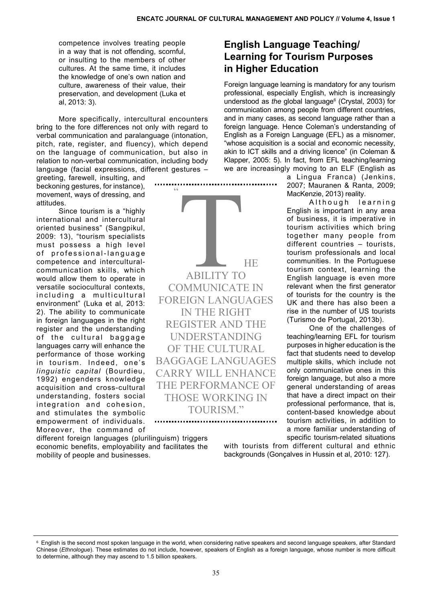competence involves treating people in a way that is not offending, scornful, or insulting to the members of other cultures. At the same time, it includes the knowledge of one's own nation and culture, awareness of their value, their preservation, and development (Luka et al, 2013: 3).

More specifically, intercultural encounters bring to the fore differences not only with regard to verbal communication and paralanguage (intonation, pitch, rate, register, and fluency), which depend on the language of communication, but also in relation to non-verbal communication, including body language (facial expressions, different gestures –

greeting, farewell, insulting, and beckoning gestures, for instance), movement, ways of dressing, and attitudes.

Since tourism is a "highly international and intercultural oriented business" (Sangpikul, 2009: 13), "tourism specialists must possess a high level of professional-language competence and interculturalcommunication skills, which would allow them to operate in versatile sociocultural contexts, including a multicultural environment" (Luka et al, 2013: 2). The ability to communicate in foreign languages in the right register and the understanding of the cultural baggage languages carry will enhance the performance of those working in tourism. Indeed, one's *linguistic capital* (Bourdieu, 1992) engenders knowledge acquisition and cross-cultural understanding, fosters social integration and cohesion, and stimulates the symbolic empowerment of individuals. Moreover, the command of

different foreign languages (plurilinguism) triggers economic benefits, employability and facilitates the mobility of people and businesses.

 $\zeta$   $\zeta$ **ABILITY TO MANUNICAT** ability to communicate in foreign languages in the right register and the understanding of the cultural baggage languages carry will enhance the performance of those working in tourism."

## **English Language Teaching/ Learning for Tourism Purposes in Higher Education**

Foreign language learning is mandatory for any tourism professional, especially English, which is increasingly understood as *the* global language<sup>6</sup> (Crystal, 2003) for communication among people from different countries, and in many cases, as second language rather than a foreign language. Hence Coleman's understanding of English as a Foreign Language (EFL) as a misnomer, "whose acquisition is a social and economic necessity, akin to ICT skills and a driving licence" (in Coleman & Klapper, 2005: 5). In fact, from EFL teaching/learning we are increasingly moving to an ELF (English as

> a Lingua Franca) (Jenkins, 2007; Mauranen & Ranta, 2009; MacKenzie, 2013) reality.

Although learning English is important in any area of business, it is imperative in tourism activities which bring together many people from different countries – tourists, tourism professionals and local communities. In the Portuguese tourism context, learning the English language is even more relevant when the first generator of tourists for the country is the UK and there has also been a rise in the number of US tourists (Turismo de Portugal, 2013b).

One of the challenges of teaching/learning EFL for tourism purposes in higher education is the fact that students need to develop multiple skills, which include not only communicative ones in this foreign language, but also a more general understanding of areas that have a direct impact on their professional performance, that is, content-based knowledge about tourism activities, in addition to a more familiar understanding of specific tourism-related situations

with tourists from different cultural and ethnic backgrounds (Gonçalves in Hussin et al, 2010: 127).

 $6$  English is the second most spoken language in the world, when considering native speakers and second language speakers, after Standard Chinese (*Ethnologue*). These estimates do not include, however, speakers of English as a foreign language, whose number is more difficult to determine, although they may ascend to 1.5 billion speakers.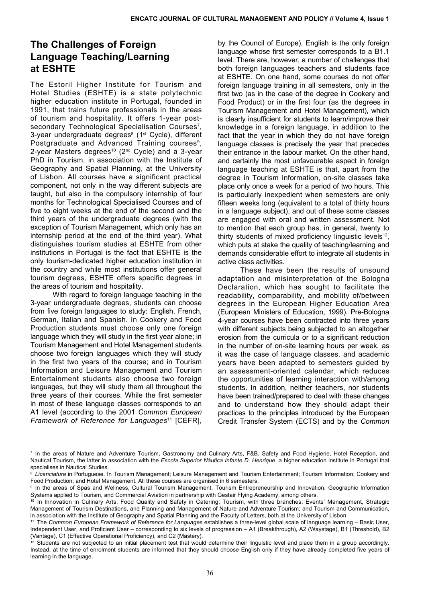# **The Challenges of Foreign Language Teaching/Learning at ESHTE**

The Estoril Higher Institute for Tourism and Hotel Studies (ESHTE) is a state polytechnic higher education institute in Portugal, founded in 1991, that trains future professionals in the areas of tourism and hospitality. It offers 1-year postsecondary Technological Specialisation Courses<sup>7</sup>, 3-year undergraduate degrees<sup>8</sup> (1<sup>st</sup> Cycle), different Postgraduate and Advanced Training courses<sup>9</sup>, 2-year Masters degrees<sup>10</sup> ( $2<sup>nd</sup>$  Cycle) and a 3-year PhD in Tourism, in association with the Institute of Geography and Spatial Planning, at the University of Lisbon. All courses have a significant practical component, not only in the way different subjects are taught, but also in the compulsory internship of four months for Technological Specialised Courses and of five to eight weeks at the end of the second and the third years of the undergraduate degrees (with the exception of Tourism Management, which only has an internship period at the end of the third year). What distinguishes tourism studies at ESHTE from other institutions in Portugal is the fact that ESHTE is the only tourism-dedicated higher education institution in the country and while most institutions offer general tourism degrees, ESHTE offers specific degrees in the areas of tourism and hospitality.

With regard to foreign language teaching in the 3-year undergraduate degrees, students can choose from five foreign languages to study: English, French, German, Italian and Spanish. In Cookery and Food Production students must choose only one foreign language which they will study in the first year alone; in Tourism Management and Hotel Management students choose two foreign languages which they will study in the first two years of the course; and in Tourism Information and Leisure Management and Tourism Entertainment students also choose two foreign languages, but they will study them all throughout the three years of their courses. While the first semester in most of these language classes corresponds to an A1 level (according to the 2001 *Common European Framework of Reference for Languages*<sup>11</sup> [CEFR],

by the Council of Europe), English is the only foreign language whose first semester corresponds to a B1.1 level. There are, however, a number of challenges that both foreign languages teachers and students face at ESHTE. On one hand, some courses do not offer foreign language training in all semesters, only in the first two (as in the case of the degree in Cookery and Food Product) or in the first four (as the degrees in Tourism Management and Hotel Management), which is clearly insufficient for students to learn/improve their knowledge in a foreign language, in addition to the fact that the year in which they do not have foreign language classes is precisely the year that precedes their entrance in the labour market. On the other hand, and certainly the most unfavourable aspect in foreign language teaching at ESHTE is that, apart from the degree in Tourism Information, on-site classes take place only once a week for a period of two hours. This is particularly inexpedient when semesters are only fifteen weeks long (equivalent to a total of thirty hours in a language subject), and out of these some classes are engaged with oral and written assessment. Not to mention that each group has, in general, twenty to thirty students of mixed proficiency linguistic levels<sup>12</sup>, which puts at stake the quality of teaching/learning and demands considerable effort to integrate all students in active class activities.

These have been the results of unsound adaptation and misinterpretation of the Bologna Declaration, which has sought to facilitate the readability, comparability, and mobility of/between degrees in the European Higher Education Area (European Ministers of Education, 1999). Pre-Bologna 4-year courses have been contracted into three years with different subjects being subjected to an altogether erosion from the curricula or to a significant reduction in the number of on-site learning hours per week, as it was the case of language classes, and academic years have been adapted to semesters guided by an assessment-oriented calendar, which reduces the opportunities of learning interaction with/among students. In addition, neither teachers, nor students have been trained/prepared to deal with these changes and to understand how they should adapt their practices to the principles introduced by the European Credit Transfer System (ECTS) and by the *Common* 

<sup>7</sup> In the areas of Nature and Adventure Tourism, Gastronomy and Culinary Arts, F&B, Safety and Food Hygiene, Hotel Reception, and Nautical Tourism, the latter in association with the *Escola Superior Náutica Infante D. Henrique*, a higher education institute in Portugal that specialises in Nautical Studies.

<sup>&</sup>lt;sup>8</sup> Licenciatura in Portuguese. In Tourism Management; Leisure Management and Tourism Entertainment; Tourism Information; Cookery and Food Production; and Hotel Management. All these courses are organised in 6 semesters.

<sup>9</sup> In the areas of Spas and Wellness, Cultural Tourism Management, Tourism Entrepreneurship and Innovation, Geographic Information Systems applied to Tourism, and Commercial Aviation in partnership with Gestair Flying Academy, among others.

<sup>&</sup>lt;sup>10</sup> In Innovation in Culinary Arts; Food Quality and Safety in Catering; Tourism, with three branches: Events' Management, Strategic Management of Tourism Destinations, and Planning and Management of Nature and Adventure Tourism; and Tourism and Communication, in association with the Institute of Geography and Spatial Planning and the Faculty of Letters, both at the University of Lisbon.

<sup>11</sup> The *Common European Framework of Reference for Languages* establishes a three-level global scale of language learning – Basic User, Independent User, and Proficient User – corresponding to six levels of progression – A1 (Breakthrough), A2 (Waystage), B1 (Threshold), B2 (Vantage), C1 (Effective Operational Proficiency), and C2 (Mastery).

Students are not subjected to an initial placement test that would determine their linguistic level and place them in a group accordingly. Instead, at the time of enrolment students are informed that they should choose English only if they have already completed five years of learning in the language.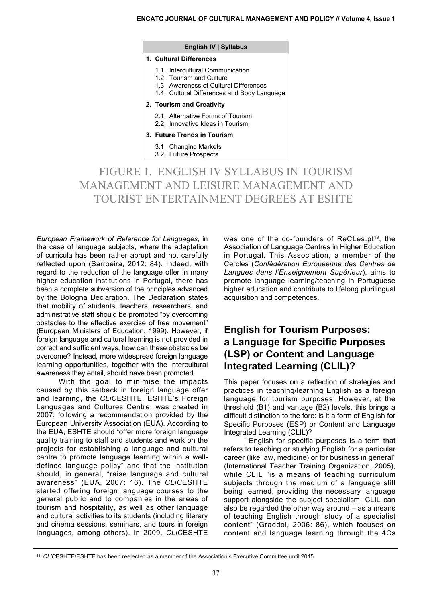#### **ENCATC Journal of Cultural Management and Policy // Volume 4, Issue 1**

| 1. Cultural Differences                                                               |
|---------------------------------------------------------------------------------------|
| 1.1. Intercultural Communication<br>1.2. Tourism and Culture                          |
| 1.3. Awareness of Cultural Differences<br>1.4. Cultural Differences and Body Language |
| 2. Tourism and Creativity                                                             |
| 2.1. Alternative Forms of Tourism<br>2.2. Innovative Ideas in Tourism                 |
| 3. Future Trends in Tourism                                                           |
| 3.1. Changing Markets<br>3.2. Future Prospects                                        |
|                                                                                       |

**English IV | Syllabus**

FIGURE 1. ENGLISH IV SYLLABUS IN TOURISM MANAGEMENT AND LEISURE MANAGEMENT AND TOURIST ENTERTAINMENT DEGREES AT ESHTE

*European Framework of Reference for Languages*, in the case of language subjects, where the adaptation of curricula has been rather abrupt and not carefully reflected upon (Sarroeira, 2012: 84). Indeed, with regard to the reduction of the language offer in many higher education institutions in Portugal, there has been a complete subversion of the principles advanced by the Bologna Declaration. The Declaration states that mobility of students, teachers, researchers, and administrative staff should be promoted "by overcoming obstacles to the effective exercise of free movement" (European Ministers of Education, 1999). However, if foreign language and cultural learning is not provided in correct and sufficient ways, how can these obstacles be overcome? Instead, more widespread foreign language learning opportunities, together with the intercultural awareness they entail, should have been promoted.

With the goal to minimise the impacts caused by this setback in foreign language offer and learning, the *CLiC*ESHTE, ESHTE's Foreign Languages and Cultures Centre, was created in 2007, following a recommendation provided by the European University Association (EUA). According to the EUA, ESHTE should "offer more foreign language quality training to staff and students and work on the projects for establishing a language and cultural centre to promote language learning within a welldefined language policy" and that the institution should, in general, "raise language and cultural awareness" (EUA, 2007: 16). The *CLiC*ESHTE started offering foreign language courses to the general public and to companies in the areas of tourism and hospitality, as well as other language and cultural activities to its students (including literary and cinema sessions, seminars, and tours in foreign languages, among others). In 2009, *CLiC*ESHTE

was one of the co-founders of ReCLes.pt<sup>13</sup>, the Association of Language Centres in Higher Education in Portugal. This Association, a member of the Cercles (*Confédération Européenne des Centres de Langues dans l'Enseignement Supérieur*), aims to promote language learning/teaching in Portuguese higher education and contribute to lifelong plurilingual acquisition and competences.

## **English for Tourism Purposes: a Language for Specific Purposes (LSP) or Content and Language Integrated Learning (CLIL)?**

This paper focuses on a reflection of strategies and practices in teaching/learning English as a foreign language for tourism purposes. However, at the threshold (B1) and vantage (B2) levels, this brings a difficult distinction to the fore: is it a form of English for Specific Purposes (ESP) or Content and Language Integrated Learning (CLIL)?

"English for specific purposes is a term that refers to teaching or studying English for a particular career (like law, medicine) or for business in general" (International Teacher Training Organization, 2005), while CLIL "is a means of teaching curriculum subjects through the medium of a language still being learned, providing the necessary language support alongside the subject specialism. CLIL can also be regarded the other way around – as a means of teaching English through study of a specialist content" (Graddol, 2006: 86), which focuses on content and language learning through the 4Cs

<sup>13</sup> *CLiC*ESHTE/ESHTE has been reelected as a member of the Association's Executive Committee until 2015.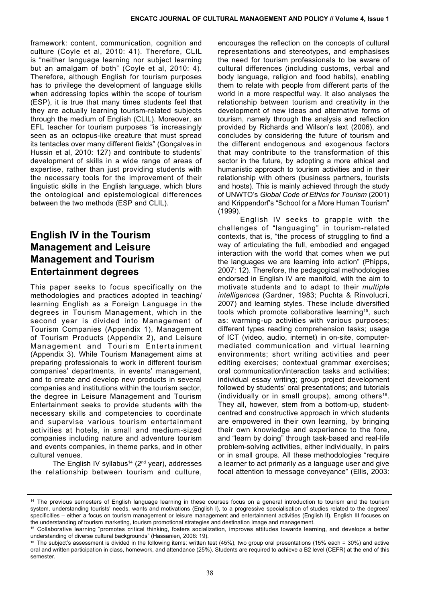framework: content, communication, cognition and culture (Coyle et al, 2010: 41). Therefore, CLIL is "neither language learning nor subject learning but an amalgam of both" (Coyle et al, 2010: 4). Therefore, although English for tourism purposes has to privilege the development of language skills when addressing topics within the scope of tourism (ESP), it is true that many times students feel that they are actually learning tourism-related subjects through the medium of English (CLIL). Moreover, an EFL teacher for tourism purposes "is increasingly seen as an octopus-like creature that must spread its tentacles over many different fields" (Gonçalves in Hussin et al, 2010: 127) and contribute to students' development of skills in a wide range of areas of expertise, rather than just providing students with the necessary tools for the improvement of their linguistic skills in the English language, which blurs the ontological and epistemological differences between the two methods (ESP and CLIL).

## **English IV in the Tourism Management and Leisure Management and Tourism Entertainment degrees**

This paper seeks to focus specifically on the methodologies and practices adopted in teaching/ learning English as a Foreign Language in the degrees in Tourism Management, which in the second year is divided into Management of Tourism Companies (Appendix 1), Management of Tourism Products (Appendix 2), and Leisure Management and Tourism Entertainment (Appendix 3). While Tourism Management aims at preparing professionals to work in different tourism companies' departments, in events' management, and to create and develop new products in several companies and institutions within the tourism sector, the degree in Leisure Management and Tourism Entertainment seeks to provide students with the necessary skills and competencies to coordinate and supervise various tourism entertainment activities at hotels, in small and medium-sized companies including nature and adventure tourism and events companies, in theme parks, and in other cultural venues.

The English IV syllabus<sup>14</sup> ( $2<sup>nd</sup>$  year), addresses the relationship between tourism and culture,

encourages the reflection on the concepts of cultural representations and stereotypes, and emphasises the need for tourism professionals to be aware of cultural differences (including customs, verbal and body language, religion and food habits), enabling them to relate with people from different parts of the world in a more respectful way. It also analyses the relationship between tourism and creativity in the development of new ideas and alternative forms of tourism, namely through the analysis and reflection provided by Richards and Wilson's text (2006), and concludes by considering the future of tourism and the different endogenous and exogenous factors that may contribute to the transformation of this sector in the future, by adopting a more ethical and humanistic approach to tourism activities and in their relationship with others (business partners, tourists and hosts). This is mainly achieved through the study of UNWTO's *Global Code of Ethics for Tourism* (2001) and Krippendorf's "School for a More Human Tourism" (1999).

English IV seeks to grapple with the challenges of "languaging" in tourism-related contexts, that is, "the process of struggling to find a way of articulating the full, embodied and engaged interaction with the world that comes when we put the languages we are learning into action" (Phipps, 2007: 12). Therefore, the pedagogical methodologies endorsed in English IV are manifold, with the aim to motivate students and to adapt to their *multiple intelligences* (Gardner, 1983; Puchta & Rinvolucri, 2007) and learning styles. These include diversified tools which promote collaborative learning<sup>15</sup>, such as: warming-up activities with various purposes; different types reading comprehension tasks; usage of ICT (video, audio, internet) in on-site, computermediated communication and virtual learning environments; short writing activities and peer editing exercises; contextual grammar exercises; oral communication/interaction tasks and activities; individual essay writing; group project development followed by students' oral presentations; and tutorials (individually or in small groups), among others<sup>16</sup>. They all, however, stem from a bottom-up, studentcentred and constructive approach in which students are empowered in their own learning, by bringing their own knowledge and experience to the fore, and "learn by doing" through task-based and real-life problem-solving activities, either individually, in pairs or in small groups. All these methodologies "require a learner to act primarily as a language user and give focal attention to message conveyance" (Ellis, 2003:

<sup>&</sup>lt;sup>14</sup> The previous semesters of English language learning in these courses focus on a general introduction to tourism and the tourism system, understanding tourists' needs, wants and motivations (English I), to a progressive specialisation of studies related to the degrees' specificities – either a focus on tourism management or leisure management and entertainment activities (English II). English III focuses on the understanding of tourism marketing, tourism promotional strategies and destination image and management.

<sup>15</sup> Collaborative learning "promotes critical thinking, fosters socialization, improves attitudes towards learning, and develops a better understanding of diverse cultural backgrounds" (Hassanien, 2006: 19).

<sup>&</sup>lt;sup>16</sup> The subject's assessment is divided in the following items: written test (45%), two group oral presentations (15% each = 30%) and active oral and written participation in class, homework, and attendance (25%). Students are required to achieve a B2 level (CEFR) at the end of this semester.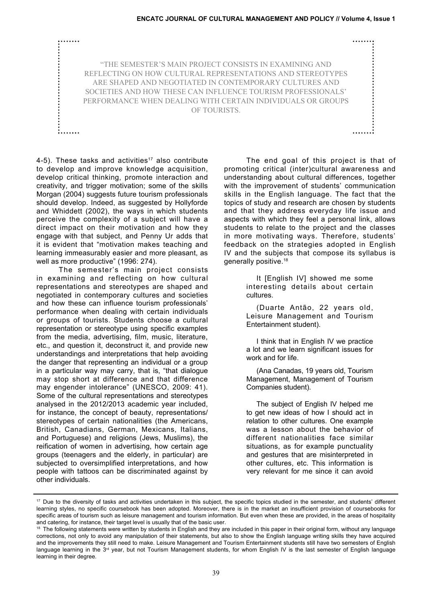| "THE SEMESTER'S MAIN PROJECT CONSISTS IN EXAMINING AND       |             |  |  |  |
|--------------------------------------------------------------|-------------|--|--|--|
| REFLECTING ON HOW CULTURAL REPRESENTATIONS AND STEREOTYPES   |             |  |  |  |
| ARE SHAPED AND NEGOTIATED IN CONTEMPORARY CULTURES AND       |             |  |  |  |
| SOCIETIES AND HOW THESE CAN INFLUENCE TOURISM PROFESSIONALS' |             |  |  |  |
| PERFORMANCE WHEN DEALING WITH CERTAIN INDIVIDUALS OR GROUPS  |             |  |  |  |
|                                                              | OF TOURISTS |  |  |  |
|                                                              |             |  |  |  |
|                                                              |             |  |  |  |
|                                                              |             |  |  |  |

4-5). These tasks and activities<sup>17</sup> also contribute to develop and improve knowledge acquisition, develop critical thinking, promote interaction and creativity, and trigger motivation; some of the skills Morgan (2004) suggests future tourism professionals should develop. Indeed, as suggested by Hollyforde and Whiddett (2002), the ways in which students perceive the complexity of a subject will have a direct impact on their motivation and how they engage with that subject, and Penny Ur adds that it is evident that "motivation makes teaching and learning immeasurably easier and more pleasant, as well as more productive" (1996: 274).

The semester's main project consists in examining and reflecting on how cultural representations and stereotypes are shaped and negotiated in contemporary cultures and societies and how these can influence tourism professionals' performance when dealing with certain individuals or groups of tourists. Students choose a cultural representation or stereotype using specific examples from the media, advertising, film, music, literature, etc., and question it, deconstruct it, and provide new understandings and interpretations that help avoiding the danger that representing an individual or a group in a particular way may carry, that is, "that dialogue may stop short at difference and that difference may engender intolerance" (UNESCO, 2009: 41). Some of the cultural representations and stereotypes analysed in the 2012/2013 academic year included, for instance, the concept of beauty, representations/ stereotypes of certain nationalities (the Americans, British, Canadians, German, Mexicans, Italians, and Portuguese) and religions (Jews, Muslims), the reification of women in advertising, how certain age groups (teenagers and the elderly, in particular) are subjected to oversimplified interpretations, and how people with tattoos can be discriminated against by other individuals.

The end goal of this project is that of promoting critical (inter)cultural awareness and understanding about cultural differences, together with the improvement of students' communication skills in the English language. The fact that the topics of study and research are chosen by students and that they address everyday life issue and aspects with which they feel a personal link, allows students to relate to the project and the classes in more motivating ways. Therefore, students' feedback on the strategies adopted in English IV and the subjects that compose its syllabus is generally positive.18

> It [English IV] showed me some interesting details about certain cultures.

> (Duarte Antão, 22 years old, Leisure Management and Tourism Entertainment student).

> I think that in English IV we practice a lot and we learn significant issues for work and for life.

> (Ana Canadas, 19 years old, Tourism Management, Management of Tourism Companies student).

> The subject of English IV helped me to get new ideas of how I should act in relation to other cultures. One example was a lesson about the behavior of different nationalities face similar situations, as for example punctuality and gestures that are misinterpreted in other cultures, etc. This information is very relevant for me since it can avoid

<sup>&</sup>lt;sup>17</sup> Due to the diversity of tasks and activities undertaken in this subject, the specific topics studied in the semester, and students' different learning styles, no specific coursebook has been adopted. Moreover, there is in the market an insufficient provision of coursebooks for specific areas of tourism such as leisure management and tourism information. But even when these are provided, in the areas of hospitality and catering, for instance, their target level is usually that of the basic user.

<sup>&</sup>lt;sup>18</sup> The following statements were written by students in English and they are included in this paper in their original form, without any language corrections, not only to avoid any manipulation of their statements, but also to show the English language writing skills they have acquired and the improvements they still need to make. Leisure Management and Tourism Entertainment students still have two semesters of English language learning in the  $3^{rd}$  year, but not Tourism Management students, for whom English IV is the last semester of English language learning in their degree.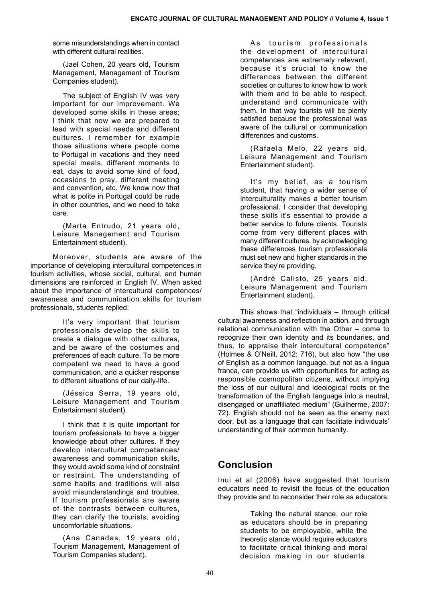some misunderstandings when in contact with different cultural realities.

(Jael Cohen, 20 years old, Tourism Management, Management of Tourism Companies student).

The subject of English IV was very important for our improvement. We developed some skills in these areas; I think that now we are prepared to lead with special needs and different cultures. I remember for example those situations where people come to Portugal in vacations and they need special meals, different moments to eat, days to avoid some kind of food, occasions to pray, different meeting and convention, etc. We know now that what is polite in Portugal could be rude in other countries, and we need to take care.

(Marta Entrudo, 21 years old, Leisure Management and Tourism Entertainment student).

Moreover, students are aware of the importance of developing intercultural competences in tourism activities, whose social, cultural, and human dimensions are reinforced in English IV. When asked about the importance of intercultural competences/ awareness and communication skills for tourism professionals, students replied:

> It's very important that tourism professionals develop the skills to create a dialogue with other cultures, and be aware of the costumes and preferences of each culture. To be more competent we need to have a good communication, and a quicker response to different situations of our daily-life.

> (Jéssica Serra, 19 years old, Leisure Management and Tourism Entertainment student).

I think that it is quite important for tourism professionals to have a bigger knowledge about other cultures. If they develop intercultural competences/ awareness and communication skills, they would avoid some kind of constraint or restraint. The understanding of some habits and traditions will also avoid misunderstandings and troubles. If tourism professionals are aware of the contrasts between cultures, they can clarify the tourists, avoiding uncomfortable situations.

(Ana Canadas, 19 years old, Tourism Management, Management of Tourism Companies student).

As tourism professionals the development of intercultural competences are extremely relevant, because it's crucial to know the differences between the different societies or cultures to know how to work with them and to be able to respect, understand and communicate with them. In that way tourists will be plenty satisfied because the professional was aware of the cultural or communication differences and customs.

(Rafaela Melo, 22 years old, Leisure Management and Tourism Entertainment student).

It's my belief, as a tourism student, that having a wider sense of interculturality makes a better tourism professional. I consider that developing these skills it's essential to provide a better service to future clients. Tourists come from very different places with many different cultures, by acknowledging these differences tourism professionals must set new and higher standards in the service they're providing.

(André Calisto, 25 years old, Leisure Management and Tourism Entertainment student).

This shows that "individuals – through critical cultural awareness and reflection in action, and through relational communication with the Other – come to recognize their own identity and its boundaries, and thus, to appraise their intercultural competence" (Holmes & O'Neill, 2012: 716), but also how "the use of English as a common language, but not as a lingua franca, can provide us with opportunities for acting as responsible cosmopolitan citizens, without implying the loss of our cultural and ideological roots or the transformation of the English language into a neutral, disengaged or unaffiliated medium" (Guilherme, 2007: 72). English should not be seen as the enemy next door, but as a language that can facilitate individuals' understanding of their common humanity.

# **Conclusion**

Inui et al (2006) have suggested that tourism educators need to revisit the focus of the education they provide and to reconsider their role as educators:

> Taking the natural stance, our role as educators should be in preparing students to be employable, while the theoretic stance would require educators to facilitate critical thinking and moral decision making in our students.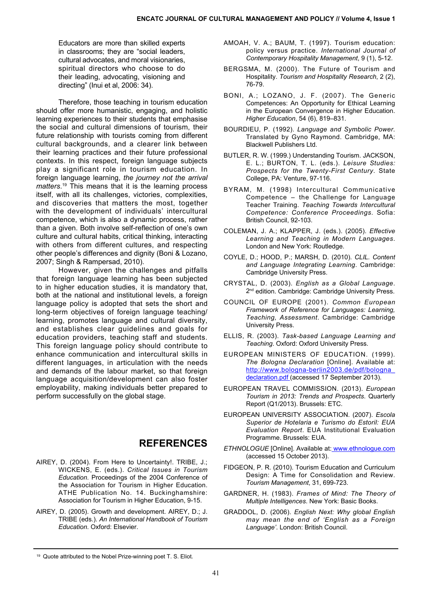Educators are more than skilled experts in classrooms; they are "social leaders, cultural advocates, and moral visionaries, spiritual directors who choose to do their leading, advocating, visioning and directing" (Inui et al, 2006: 34).

Therefore, those teaching in tourism education should offer more humanistic, engaging, and holistic learning experiences to their students that emphasise the social and cultural dimensions of tourism, their future relationship with tourists coming from different cultural backgrounds, and a clearer link between their learning practices and their future professional contexts. In this respect, foreign language subjects play a significant role in tourism education. In foreign language learning, *the journey not the arrival matters*. 19 This means that it is the learning process itself, with all its challenges, victories, complexities, and discoveries that matters the most, together with the development of individuals' intercultural competence, which is also a dynamic process, rather than a given. Both involve self-reflection of one's own culture and cultural habits, critical thinking, interacting with others from different cultures, and respecting other people's differences and dignity (Boni & Lozano, 2007; Singh & Rampersad, 2010).

However, given the challenges and pitfalls that foreign language learning has been subjected to in higher education studies, it is mandatory that, both at the national and institutional levels, a foreign language policy is adopted that sets the short and long-term objectives of foreign language teaching/ learning, promotes language and cultural diversity, and establishes clear guidelines and goals for education providers, teaching staff and students. This foreign language policy should contribute to enhance communication and intercultural skills in different languages, in articulation with the needs and demands of the labour market, so that foreign language acquisition/development can also foster employability, making individuals better prepared to perform successfully on the global stage.

## **References**

- AIREY, D. (2004). From Here to Uncertainty!. TRIBE, J.; WICKENS, E. (eds.). *Critical Issues in Tourism Education*. Proceedings of the 2004 Conference of the Association for Tourism in Higher Education. ATHE Publication No. 14. Buckinghamshire: Association for Tourism in Higher Education, 9-15.
- AIREY, D. (2005). Growth and development. AIREY, D.; J. TRIBE (eds.). *An International Handbook of Tourism Education*. Oxford: Elsevier.
- AMOAH, V. A.; BAUM, T. (1997). Tourism education: policy versus practice. *International Journal of Contemporary Hospitality Management*, 9 (1), 5-12.
- BERGSMA, M. (2000). The Future of Tourism and Hospitality*. Tourism and Hospitality Research*, 2 (2), 76-79.
- BONI, A.; LOZANO, J. F. (2007). The Generic Competences: An Opportunity for Ethical Learning in the European Convergence in Higher Education. *Higher Education*, 54 (6), 819–831.
- BOURDIEU, P. (1992). *Language and Symbolic Power*. Translated by Gyno Raymond. Cambridge, MA: Blackwell Publishers Ltd.
- BUTLER, R. W. (1999.) Understanding Tourism. JACKSON, E. L.; BURTON, T. L. (eds.). *Leisure Studies: Prospects for the Twenty-First Century*. State College, PA: Venture, 97-116.
- BYRAM, M. (1998) Intercultural Communicative Competence – the Challenge for Language Teacher Training. *Teaching Towards Intercultural Competence: Conference Proceedings*. Sofia: British Council, 92-103.
- COLEMAN, J. A.; KLAPPER, J. (eds.). (2005). *Effective Learning and Teaching in Modern Languages*. London and New York: Routledge.
- COYLE, D.; HOOD, P.; MARSH, D. (2010). *CLIL. Content and Language Integrating Learning*. Cambridge: Cambridge University Press.
- CRYSTAL, D. (2003). *English as a Global Language*. 2<sup>nd</sup> edition. Cambridge: Cambridge University Press.
- COUNCIL OF EUROPE (2001). *Common European Framework of Reference for Languages: Learning, Teaching, Assessment*. Cambridge: Cambridge University Press.
- ELLIS, R. (2003). *Task-based Language Learning and Teaching*. Oxford: Oxford University Press.
- EUROPEAN MINISTERS OF EDUCATION. (1999). *The Bologna Declaration* [Online]. Available at: [http://www.bologna-berlin2003.de/pdf/bologna\\_](http://www.bologna-berlin2003.de/pdf/bologna_declaration.pdf ) [declaration.pdf](http://www.bologna-berlin2003.de/pdf/bologna_declaration.pdf ) (accessed 17 September 2013).
- EUROPEAN TRAVEL COMMISSION. (2013). *European Tourism in 2013: Trends and Prospects*. Quarterly Report (Q1/2013). Brussels: ETC.
- EUROPEAN UNIVERSITY ASSOCIATION. (2007). *Escola Superior de Hotelaria e Turismo do Estoril: EUA Evaluation Report*. EUA Institutional Evaluation Programme. Brussels: EUA.
- *ETHNOLOGUE* [Online]. Available at: [www.ethnologue.com](http://www.ethnologue.com) (accessed 15 October 2013).
- FIDGEON, P. R. (2010). Tourism Education and Curriculum Design: A Time for Consolidation and Review. *Tourism Management*, 31, 699-723.
- GARDNER, H. (1983). *Frames of Mind: The Theory of Multiple Intelligences*. New York: Basic Books.
- GRADDOL, D. (2006). *English Next: Why global English may mean the end of 'English as a Foreign Language'*. London: British Council.

<sup>19</sup> Quote attributed to the Nobel Prize-winning poet T. S. Eliot.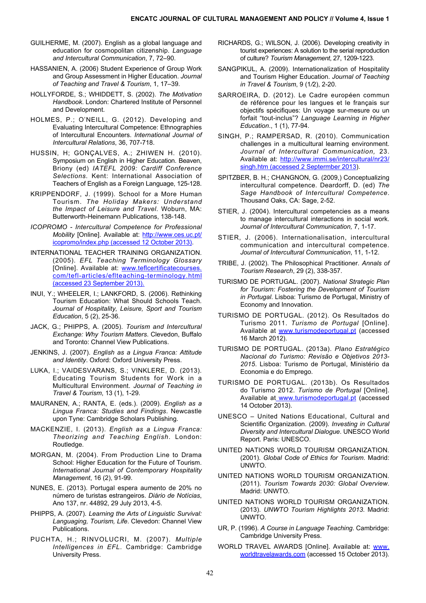- GUILHERME, M. (2007). English as a global language and education for cosmopolitan citizenship. *Language and Intercultural Communication*, 7, 72–90.
- HASSANIEN, A. (2006) Student Experience of Group Work and Group Assessment in Higher Education. *Journal of Teaching and Travel & Tourism*, 1, 17–39.
- HOLLYFORDE, S.; WHIDDETT, S. (2002). *The Motivation Handbook*. London: Chartered Institute of Personnel and Development.
- HOLMES, P.; O'NEILL, G. (2012). Developing and Evaluating Intercultural Competence: Ethnographies of Intercultural Encounters. *International Journal of Intercultural Relations*, 36, 707-718.
- HUSSIN, H; GONÇALVES, A.; ZHIWEN H. (2010). Symposium on English in Higher Education. Beaven, Briony (ed) *IATEFL 2009: Cardiff Conference Selections*. Kent: International Association of Teachers of English as a Foreign Language, 125-128.
- KRIPPENDORF, J. (1999). School for a More Human Tourism. *The Holiday Makers: Understand the Impact of Leisure and Travel*. Woburn, MA: Butterworth-Heinemann Publications, 138-148.
- *ICOPROMO Intercultural Competence for Professional Mobility* [Online]. Available at: [http://www.ces.uc.pt/](http://www.ces.uc.pt/icopromo/index.php (accessed 12 October 2013)) [icopromo/index.php \(accessed 12 October 2013](http://www.ces.uc.pt/icopromo/index.php (accessed 12 October 2013))).
- INTERNATIONAL TEACHER TRAINING ORGANIZATION. (2005). *EFL Teaching Terminology Glossary* [Online]. Available at: [www.teflcertificatecourses.](http://www.teflcertificatecourses.com/tefl-articles/eflteaching-terminology.html (accessed 23 September 2013).) [com/tefl-articles/eflteaching-terminology.html](http://www.teflcertificatecourses.com/tefl-articles/eflteaching-terminology.html (accessed 23 September 2013).) [\(accessed 23 September 2013\)](http://www.teflcertificatecourses.com/tefl-articles/eflteaching-terminology.html (accessed 23 September 2013).).
- INUI, Y.; WHEELER, I.; LANKFORD, S. (2006). Rethinking Tourism Education: What Should Schools Teach. *Journal of Hospitality, Leisure, Sport and Tourism Education*, 5 (2), 25-36.
- JACK, G.; PHIPPS, A. (2005). *Tourism and Intercultural Exchange: Why Tourism Matters*. Clevedon, Buffalo and Toronto: Channel View Publications.
- JENKINS, J. (2007). *English as a Lingua Franca: Attitude and Identity*. Oxford: Oxford University Press.
- LUKA, I.; VAIDESVARANS, S.; VINKLERE, D. (2013). Educating Tourism Students for Work in a Multicultural Environment. *Journal of Teaching in Travel & Tourism*, 13 (1), 1-29.
- MAURANEN, A.; RANTA, E. (eds.). (2009). *English as a Lingua Franca: Studies and Findings*. Newcastle upon Tyne: Cambridge Scholars Publishing.
- MACKENZIE, I. (2013). *English as a Lingua Franca: Theorizing and Teaching English*. London: Routledge.
- MORGAN, M. (2004). From Production Line to Drama School: Higher Education for the Future of Tourism. *International Journal of Contemporary Hospitality Management*, 16 (2), 91-99.
- NUNES, E. (2013). Portugal espera aumento de 20% no número de turistas estrangeiros. *Diário de Notícias*, Ano 137, nr. 44892, 29 July 2013, 4-5.
- PHIPPS, A. (2007). *Learning the Arts of Linguistic Survival: Languaging, Tourism, Life*. Clevedon: Channel View Publications.
- PUCHTA, H.; RINVOLUCRI, M. (2007). *Multiple Intelligences in EFL*. Cambridge: Cambridge University Press.
- RICHARDS, G.; WILSON, J. (2006). Developing creativity in tourist experiences: A solution to the serial reproduction of culture? *Tourism Management*, 27, 1209-1223.
- SANGPIKUL, A. (2009). Internationalization of Hospitality and Tourism Higher Education. *Journal of Teaching in Travel & Tourism*, 9 (1*/*2), 2-20.
- SARROEIRA, D. (2012). Le Cadre européen commun de référence pour les langues et le français sur objectifs spécifiques: Un voyage sur-mesure ou un forfait "tout-inclus"? *Language Learning in Higher Education*., 1 (1), 77-94.
- SINGH, P.; RAMPERSAD, R. (2010). Communication challenges in a multicultural learning environment. *Journal of Intercultural Communication,* 23. Available at: [http://www.immi.se/intercultural/nr23/](http://www.immi.se/intercultural/nr23/singh.htm (accessed 2 Septermber 2013) [singh.htm \(accessed 2 Septermber 201](http://www.immi.se/intercultural/nr23/singh.htm (accessed 2 Septermber 2013)3).
- SPITZBER, B. H.; CHANGNON, G. (2009,) Conceptualizing intercultural competence. Deardorff, D. (ed) *The Sage Handbook of Intercultural Competence*. Thousand Oaks, CA: Sage, 2-52.
- STIER, J. (2004). Intercultural competencies as a means to manage intercultural interactions in social work. *Journal of Intercultural Communication,* 7, 1-17.
- STIER, J. (2006). Internationalisation, intercultural communication and intercultural competence. *Journal of Intercultural Communication*, 11, 1-12.
- TRIBE, J. (2002). The Philosophical Practitioner. *Annals of Tourism Research*, 29 (2), 338-357.
- TURISMO DE PORTUGAL. (2007). *National Strategic Plan for Tourism: Fostering the Development of Tourism in Portugal*. Lisboa: Turismo de Portugal, Ministry of Economy and Innovation.
- TURISMO DE PORTUGAL. (2012). Os Resultados do Turismo 2011. *Turismo de Portugal* [Online]. Available at [www.turismodeportugal.pt](http://www.turismodeportugal.pt) (accessed 16 March 2012).
- TURISMO DE PORTUGAL. (2013a). *Plano Estratégico Nacional do Turismo: Revisão e Objetivos 2013- 2015*. Lisboa: Turismo de Portugal, Ministério da Economia e do Emprego.
- TURISMO DE PORTUGAL. (2013b). Os Resultados do Turismo 2012. *Turismo de Portugal* [Online]. Available at [www.turismodeportugal.pt](http://www.turismodeportugal.pt) (accessed 14 October 2013).
- UNESCO United Nations Educational, Cultural and Scientific Organization. (2009). *Investing in Cultural Diversity and Intercultural Dialogue*. UNESCO World Report. Paris: UNESCO.
- UNITED NATIONS WORLD TOURISM ORGANIZATION. (2001). *Global Code of Ethics for Tourism*. Madrid: UNWTO.
- UNITED NATIONS WORLD TOURISM ORGANIZATION. (2011). *Tourism Towards 2030: Global Overview*. Madrid: UNWTO.
- UNITED NATIONS WORLD TOURISM ORGANIZATION. (2013). *UNWTO Tourism Highlights 2013*. Madrid: UNWTO.
- UR, P. (1996). *A Course in Language Teaching*. Cambridge: Cambridge University Press.
- WORLD TRAVEL AWARDS [Online]. Available at: [www.](http://www.worldtravelawards.com) [worldtravelawards.com](http://www.worldtravelawards.com) (accessed 15 October 2013).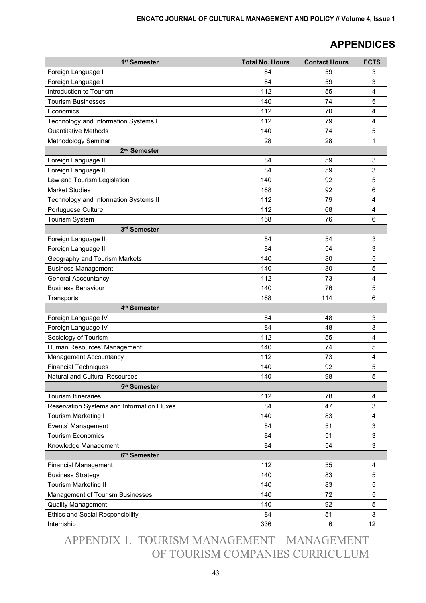# **Appendices**

| 1 <sup>st</sup> Semester                   | <b>Total No. Hours</b> | <b>Contact Hours</b> | <b>ECTS</b> |
|--------------------------------------------|------------------------|----------------------|-------------|
| Foreign Language I                         | 84                     | 59                   | 3           |
| Foreign Language I                         | 84                     | 59                   | 3           |
| Introduction to Tourism                    | 112                    | 55                   | 4           |
| <b>Tourism Businesses</b>                  | 140                    | 74                   | 5           |
| Economics                                  | 112                    | 70                   | 4           |
| Technology and Information Systems I       | 112                    | 79                   | 4           |
| <b>Quantitative Methods</b>                | 140                    | 74                   | 5           |
| Methodology Seminar                        | 28                     | 28                   | 1           |
| 2 <sup>nd</sup> Semester                   |                        |                      |             |
| Foreign Language II                        | 84                     | 59                   | 3           |
| Foreign Language II                        | 84                     | 59                   | 3           |
| Law and Tourism Legislation                | 140                    | 92                   | 5           |
| <b>Market Studies</b>                      | 168                    | 92                   | 6           |
| Technology and Information Systems II      | 112                    | 79                   | 4           |
| Portuguese Culture                         | 112                    | 68                   | 4           |
| Tourism System                             | 168                    | 76                   | 6           |
| 3rd Semester                               |                        |                      |             |
| Foreign Language III                       | 84                     | 54                   | 3           |
| Foreign Language III                       | 84                     | 54                   | 3           |
| Geography and Tourism Markets              | 140                    | 80                   | 5           |
| <b>Business Management</b>                 | 140                    | 80                   | 5           |
| General Accountancy                        | 112                    | 73                   | 4           |
| <b>Business Behaviour</b>                  | 140                    | 76                   | 5           |
| Transports                                 | 168                    | 114                  | 6           |
| 4 <sup>th</sup> Semester                   |                        |                      |             |
| Foreign Language IV                        | 84                     | 48                   | 3           |
| Foreign Language IV                        | 84                     | 48                   | 3           |
| Sociology of Tourism                       | 112                    | 55                   | 4           |
| Human Resources' Management                | 140                    | 74                   | 5           |
| Management Accountancy                     | 112                    | 73                   | 4           |
| <b>Financial Techniques</b>                | 140                    | 92                   | 5           |
| Natural and Cultural Resources             | 140                    | 98                   | 5           |
| 5 <sup>th</sup> Semester                   |                        |                      |             |
| <b>Tourism Itineraries</b>                 | 112                    | 78                   | 4           |
| Reservation Systems and Information Fluxes | 84                     | 47                   | 3           |
| Tourism Marketing I                        | 140                    | 83                   | 4           |
| Events' Management                         | 84                     | 51                   | 3           |
| <b>Tourism Economics</b>                   | 84                     | 51                   | 3           |
| Knowledge Management                       | 84                     | 54                   | 3           |
| 6 <sup>th</sup> Semester                   |                        |                      |             |
| <b>Financial Management</b>                | 112                    | 55                   | 4           |
| <b>Business Strategy</b>                   | 140                    | 83                   | 5           |
| Tourism Marketing II                       | 140                    | 83                   | 5           |
| Management of Tourism Businesses           | 140                    | 72                   | 5           |
| <b>Quality Management</b>                  | 140                    | 92                   | 5           |
| <b>Ethics and Social Responsibility</b>    | 84                     | 51                   | 3           |
| Internship                                 | 336                    | $\,6$                | 12          |

Appendix 1. Tourism Management – Management of Tourism Companies Curriculum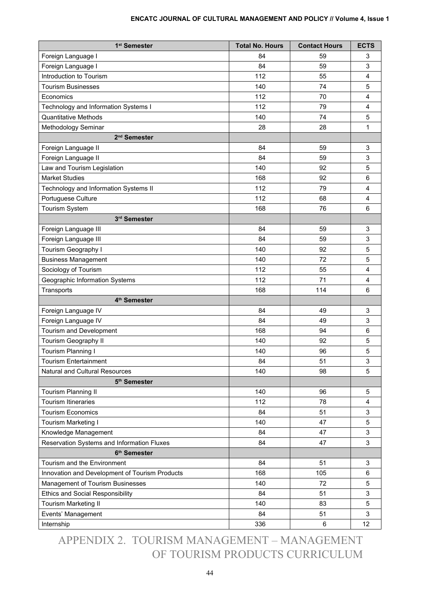| 1 <sup>st</sup> Semester                       | <b>Total No. Hours</b> | <b>Contact Hours</b> | <b>ECTS</b>             |
|------------------------------------------------|------------------------|----------------------|-------------------------|
| Foreign Language I                             | 84                     | 59                   | 3                       |
| Foreign Language I                             | 84                     | 59                   | 3                       |
| Introduction to Tourism                        | 112                    | 55                   | 4                       |
| <b>Tourism Businesses</b>                      | 140                    | 74                   | 5                       |
| Economics                                      | 112                    | 70                   | 4                       |
| Technology and Information Systems I           | 112                    | 79                   | 4                       |
| <b>Quantitative Methods</b>                    | 140                    | 74                   | 5                       |
| Methodology Seminar                            | 28                     | 28                   | 1                       |
| 2 <sup>nd</sup> Semester                       |                        |                      |                         |
| Foreign Language II                            | 84                     | 59                   | 3                       |
| Foreign Language II                            | 84                     | 59                   | 3                       |
| Law and Tourism Legislation                    | 140                    | 92                   | 5                       |
| <b>Market Studies</b>                          | 168                    | 92                   | 6                       |
| Technology and Information Systems II          | 112                    | 79                   | 4                       |
| Portuguese Culture                             | 112                    | 68                   | $\overline{\mathbf{4}}$ |
| Tourism System                                 | 168                    | 76                   | 6                       |
| 3rd Semester                                   |                        |                      |                         |
| Foreign Language III                           | 84                     | 59                   | 3                       |
| Foreign Language III                           | 84                     | 59                   | 3                       |
| Tourism Geography I                            | 140                    | 92                   | 5                       |
| <b>Business Management</b>                     | 140                    | 72                   | 5                       |
| Sociology of Tourism                           | 112                    | 55                   | 4                       |
| Geographic Information Systems                 | 112                    | 71                   | 4                       |
| Transports                                     | 168                    | 114                  | 6                       |
| 4 <sup>th</sup> Semester                       |                        |                      |                         |
| Foreign Language IV                            | 84                     | 49                   | 3                       |
| Foreign Language IV                            | 84                     | 49                   | 3                       |
| Tourism and Development                        | 168                    | 94                   | $\,6$                   |
| Tourism Geography II                           | 140                    | 92                   | 5                       |
| Tourism Planning I                             | 140                    | 96                   | 5                       |
| <b>Tourism Entertainment</b>                   | 84                     | 51                   | 3                       |
| Natural and Cultural Resources                 | 140                    | 98                   | 5                       |
| 5 <sup>th</sup> Semester                       |                        |                      |                         |
| Tourism Planning II                            | 140                    | 96                   | 5                       |
| <b>Tourism Itineraries</b>                     | 112                    | 78                   | $\overline{4}$          |
| <b>Tourism Economics</b>                       | 84                     | 51                   | 3                       |
| Tourism Marketing I                            | 140                    | 47                   | 5                       |
| Knowledge Management                           | 84                     | 47                   | 3                       |
| Reservation Systems and Information Fluxes     | 84                     | 47                   | 3                       |
| 6 <sup>th</sup> Semester                       |                        |                      |                         |
| Tourism and the Environment                    | 84                     | 51                   | 3                       |
| Innovation and Development of Tourism Products | 168                    | 105                  | 6                       |
| Management of Tourism Businesses               | 140                    | 72                   | 5                       |
| <b>Ethics and Social Responsibility</b>        | 84                     | 51                   | 3                       |
| Tourism Marketing II                           | 140                    | 83                   | 5                       |
| Events' Management                             | 84                     | 51                   | 3                       |
| Internship                                     | 336                    | 6                    | 12                      |

Appendix 2. Tourism Management – Management of Tourism Products Curriculum